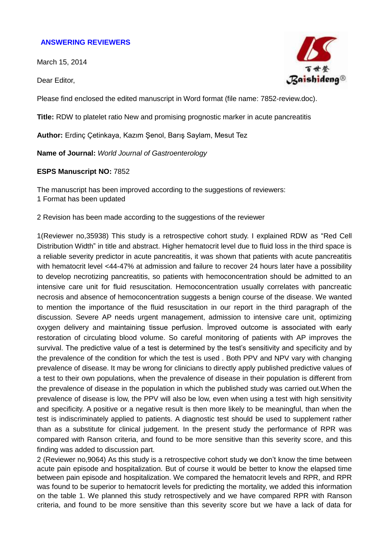## **ANSWERING REVIEWERS**

March 15, 2014

Dear Editor,



Please find enclosed the edited manuscript in Word format (file name: 7852-review.doc).

**Title:** RDW to platelet ratio New and promising prognostic marker in acute pancreatitis

**Author:** Erdinç Çetinkaya, Kazım Şenol, Barış Saylam, Mesut Tez

**Name of Journal:** *World Journal of Gastroenterology*

## **ESPS Manuscript NO:** 7852

The manuscript has been improved according to the suggestions of reviewers: 1 Format has been updated

2 Revision has been made according to the suggestions of the reviewer

1(Reviewer no,35938) This study is a retrospective cohort study. I explained RDW as "Red Cell Distribution Width" in title and abstract. Higher hematocrit level due to fluid loss in the third space is a reliable severity predictor in acute pancreatitis, it was shown that patients with acute pancreatitis with hematocrit level <44-47% at admission and failure to recover 24 hours later have a possibility to develop necrotizing pancreatitis, so patients with hemoconcentration should be admitted to an intensive care unit for fluid resuscitation. Hemoconcentration usually correlates with pancreatic necrosis and absence of hemoconcentration suggests a benign course of the disease. We wanted to mention the importance of the fluid resuscitation in our report in the third paragraph of the discussion. Severe AP needs urgent management, admission to intensive care unit, optimizing oxygen delivery and maintaining tissue perfusion. İmproved outcome is associated with early restoration of circulating blood volume. So careful monitoring of patients with AP improves the survival. The predictive value of a test is determined by the test's sensitivity and specificity and by the prevalence of the condition for which the test is used . Both PPV and NPV vary with changing prevalence of disease. It may be wrong for clinicians to directly apply published predictive values of a test to their own populations, when the prevalence of disease in their population is different from the prevalence of disease in the population in which the published study was carried out.When the prevalence of disease is low, the PPV will also be low, even when using a test with high sensitivity and specificity. A positive or a negative result is then more likely to be meaningful, than when the test is indiscriminately applied to patients. A diagnostic test should be used to supplement rather than as a substitute for clinical judgement. In the present study the performance of RPR was compared with Ranson criteria, and found to be more sensitive than this severity score, and this finding was added to discussion part.

2 (Reviewer no,9064) As this study is a retrospective cohort study we don't know the time between acute pain episode and hospitalization. But of course it would be better to know the elapsed time between pain episode and hospitalization. We compared the hematocrit levels and RPR, and RPR was found to be superior to hematocrit levels for predicting the mortality, we added this information on the table 1. We planned this study retrospectively and we have compared RPR with Ranson criteria, and found to be more sensitive than this severity score but we have a lack of data for